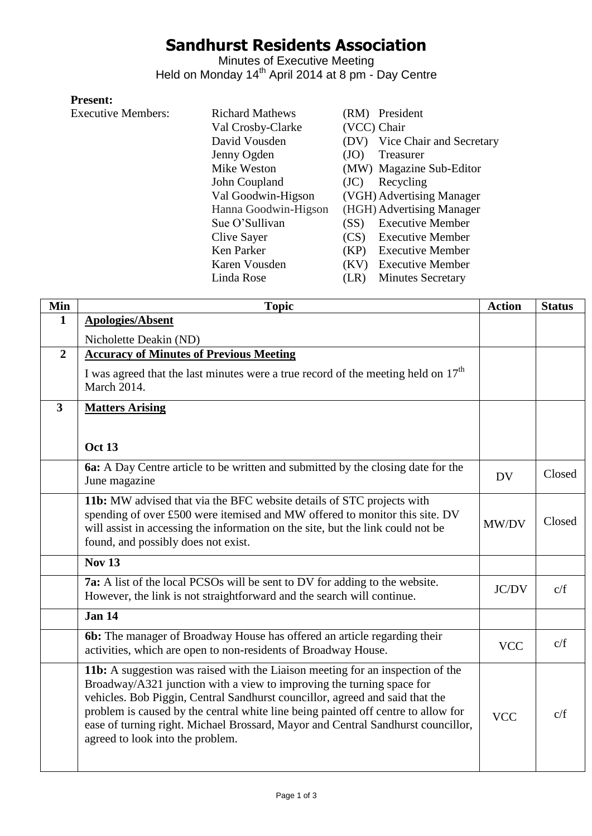# **Sandhurst Residents Association**

Minutes of Executive Meeting Held on Monday 14<sup>th</sup> April 2014 at 8 pm - Day Centre

#### **Present:**

Executive Members:

| <b>Richard Mathews</b> | (RM) President                   |
|------------------------|----------------------------------|
| Val Crosby-Clarke      | (VCC) Chair                      |
| David Vousden          | Vice Chair and Secretary<br>(DV) |
| Jenny Ogden            | Treasurer<br>(JO)                |
| Mike Weston            | (MW) Magazine Sub-Editor         |
| John Coupland          | Recycling<br>(JC)                |
| Val Goodwin-Higson     | (VGH) Advertising Manager        |
| Hanna Goodwin-Higson   | (HGH) Advertising Manager        |
| Sue O'Sullivan         | <b>Executive Member</b><br>(SS)  |
| Clive Sayer            | <b>Executive Member</b><br>(CS)  |
| Ken Parker             | <b>Executive Member</b><br>(KP)  |
| Karen Vousden          | <b>Executive Member</b><br>(KV)  |
| Linda Rose             | <b>Minutes Secretary</b><br>R)   |

| Min            | <b>Topic</b>                                                                                                                                                                                                                                                                                                                                                                                                                                         | <b>Action</b> | <b>Status</b> |
|----------------|------------------------------------------------------------------------------------------------------------------------------------------------------------------------------------------------------------------------------------------------------------------------------------------------------------------------------------------------------------------------------------------------------------------------------------------------------|---------------|---------------|
| 1              | <b>Apologies/Absent</b>                                                                                                                                                                                                                                                                                                                                                                                                                              |               |               |
|                | Nicholette Deakin (ND)                                                                                                                                                                                                                                                                                                                                                                                                                               |               |               |
| $\overline{2}$ | <b>Accuracy of Minutes of Previous Meeting</b>                                                                                                                                                                                                                                                                                                                                                                                                       |               |               |
|                | I was agreed that the last minutes were a true record of the meeting held on $17th$<br><b>March 2014.</b>                                                                                                                                                                                                                                                                                                                                            |               |               |
| 3              | <b>Matters Arising</b>                                                                                                                                                                                                                                                                                                                                                                                                                               |               |               |
|                |                                                                                                                                                                                                                                                                                                                                                                                                                                                      |               |               |
|                | <b>Oct 13</b>                                                                                                                                                                                                                                                                                                                                                                                                                                        |               |               |
|                | 6a: A Day Centre article to be written and submitted by the closing date for the<br>June magazine                                                                                                                                                                                                                                                                                                                                                    | <b>DV</b>     | Closed        |
|                | 11b: MW advised that via the BFC website details of STC projects with<br>spending of over £500 were itemised and MW offered to monitor this site. DV<br>will assist in accessing the information on the site, but the link could not be<br>found, and possibly does not exist.                                                                                                                                                                       | MW/DV         | Closed        |
|                | <b>Nov 13</b>                                                                                                                                                                                                                                                                                                                                                                                                                                        |               |               |
|                | 7a: A list of the local PCSOs will be sent to DV for adding to the website.<br>However, the link is not straightforward and the search will continue.                                                                                                                                                                                                                                                                                                | JC/DV         | c/f           |
|                | <b>Jan 14</b>                                                                                                                                                                                                                                                                                                                                                                                                                                        |               |               |
|                | 6b: The manager of Broadway House has offered an article regarding their<br>activities, which are open to non-residents of Broadway House.                                                                                                                                                                                                                                                                                                           | <b>VCC</b>    | c/f           |
|                | 11b: A suggestion was raised with the Liaison meeting for an inspection of the<br>Broadway/A321 junction with a view to improving the turning space for<br>vehicles. Bob Piggin, Central Sandhurst councillor, agreed and said that the<br>problem is caused by the central white line being painted off centre to allow for<br>ease of turning right. Michael Brossard, Mayor and Central Sandhurst councillor,<br>agreed to look into the problem. | <b>VCC</b>    | c/f           |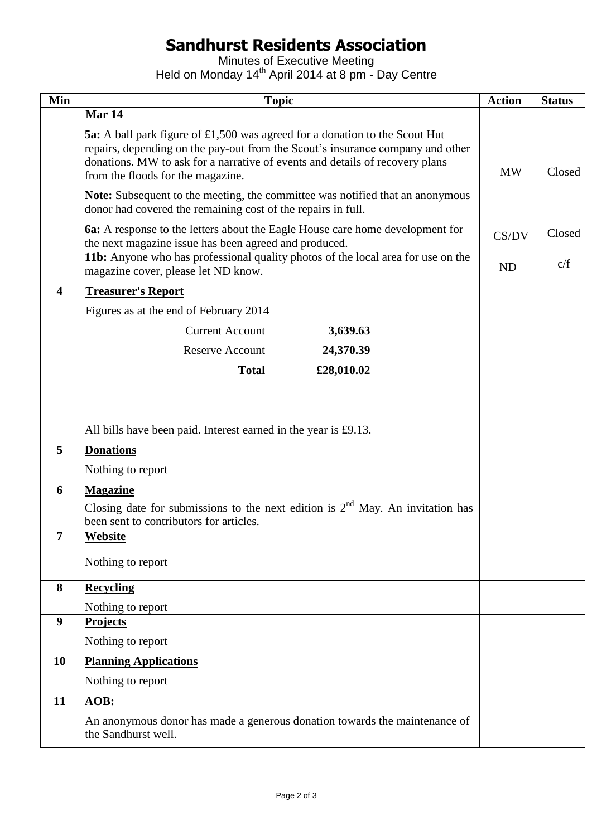# **Sandhurst Residents Association**

Minutes of Executive Meeting Held on Monday 14<sup>th</sup> April 2014 at 8 pm - Day Centre

| Min | <b>Topic</b>                                                                                                                                                                                                                                                                              | <b>Action</b> | <b>Status</b> |
|-----|-------------------------------------------------------------------------------------------------------------------------------------------------------------------------------------------------------------------------------------------------------------------------------------------|---------------|---------------|
|     | Mar 14                                                                                                                                                                                                                                                                                    |               |               |
|     | <b>5a:</b> A ball park figure of £1,500 was agreed for a donation to the Scout Hut<br>repairs, depending on the pay-out from the Scout's insurance company and other<br>donations. MW to ask for a narrative of events and details of recovery plans<br>from the floods for the magazine. |               | Closed        |
|     | <b>Note:</b> Subsequent to the meeting, the committee was notified that an anonymous<br>donor had covered the remaining cost of the repairs in full.                                                                                                                                      |               |               |
|     | <b>6a:</b> A response to the letters about the Eagle House care home development for<br>the next magazine issue has been agreed and produced.                                                                                                                                             | CS/DV         | Closed        |
|     | 11b: Anyone who has professional quality photos of the local area for use on the<br>magazine cover, please let ND know.                                                                                                                                                                   | <b>ND</b>     | c/f           |
| 4   | <b>Treasurer's Report</b>                                                                                                                                                                                                                                                                 |               |               |
|     | Figures as at the end of February 2014                                                                                                                                                                                                                                                    |               |               |
|     | <b>Current Account</b><br>3,639.63                                                                                                                                                                                                                                                        |               |               |
|     | <b>Reserve Account</b><br>24,370.39                                                                                                                                                                                                                                                       |               |               |
|     | <b>Total</b><br>£28,010.02                                                                                                                                                                                                                                                                |               |               |
|     | All bills have been paid. Interest earned in the year is £9.13.                                                                                                                                                                                                                           |               |               |
| 5   | <b>Donations</b>                                                                                                                                                                                                                                                                          |               |               |
|     | Nothing to report                                                                                                                                                                                                                                                                         |               |               |
| 6   | <b>Magazine</b>                                                                                                                                                                                                                                                                           |               |               |
|     | Closing date for submissions to the next edition is $2nd$ May. An invitation has<br>been sent to contributors for articles.                                                                                                                                                               |               |               |
| 7   | Website                                                                                                                                                                                                                                                                                   |               |               |
|     | Nothing to report                                                                                                                                                                                                                                                                         |               |               |
| 8   | <b>Recycling</b>                                                                                                                                                                                                                                                                          |               |               |
|     | Nothing to report                                                                                                                                                                                                                                                                         |               |               |
| 9   | <b>Projects</b>                                                                                                                                                                                                                                                                           |               |               |
|     | Nothing to report                                                                                                                                                                                                                                                                         |               |               |
| 10  | <b>Planning Applications</b>                                                                                                                                                                                                                                                              |               |               |
|     | Nothing to report                                                                                                                                                                                                                                                                         |               |               |
| 11  | AOB:                                                                                                                                                                                                                                                                                      |               |               |
|     | An anonymous donor has made a generous donation towards the maintenance of<br>the Sandhurst well.                                                                                                                                                                                         |               |               |